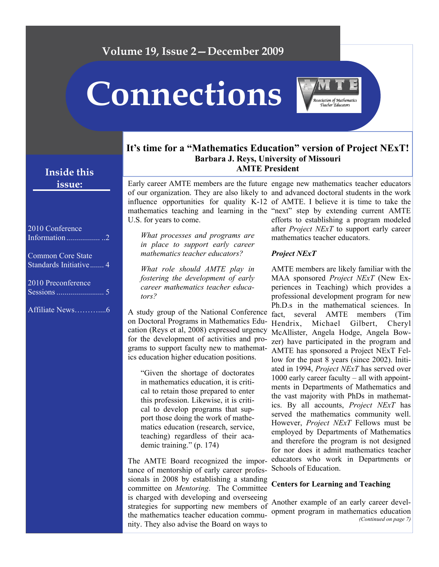# **Volume 19, Issue 2—December 2009 Connections**  .<br>Association of Mathematics

## **It's time for a "Mathematics Education" version of Project NExT! Barbara J. Reys, University of Missouri AMTE President**

Early career AMTE members are the future engage new mathematics teacher educators of our organization. They are also likely to and advanced doctoral students in the work influence opportunities for quality K-12 of AMTE. I believe it is time to take the mathematics teaching and learning in the "next" step by extending current AMTE U.S. for years to come.

*What processes and programs are in place to support early career mathematics teacher educators?* 

*What role should AMTE play in fostering the development of early career mathematics teacher educators?* 

A study group of the National Conference on Doctoral Programs in Mathematics Education (Reys et al, 2008) expressed urgency for the development of activities and programs to support faculty new to mathematics education higher education positions.

"Given the shortage of doctorates in mathematics education, it is critical to retain those prepared to enter this profession. Likewise, it is critical to develop programs that support those doing the work of mathematics education (research, service, teaching) regardless of their academic training." (p. 174)

The AMTE Board recognized the importance of mentorship of early career professionals in 2008 by establishing a standing committee on *Mentoring*. The Committee is charged with developing and overseeing strategies for supporting new members of the mathematics teacher education community. They also advise the Board on ways to

efforts to establishing a program modeled after *Project NExT* to support early career mathematics teacher educators.

#### *Project NExT*

AMTE members are likely familiar with the MAA sponsored *Project NExT* (New Experiences in Teaching) which provides a professional development program for new Ph.D.s in the mathematical sciences. In fact, several AMTE members (Tim Hendrix, Michael Gilbert, Cheryl McAllister, Angela Hodge, Angela Bowzer) have participated in the program and AMTE has sponsored a Project NExT Fellow for the past 8 years (since 2002). Initiated in 1994, *Project NExT* has served over 1000 early career faculty – all with appointments in Departments of Mathematics and the vast majority with PhDs in mathematics. By all accounts, *Project NExT* has served the mathematics community well. However, *Project NExT* Fellows must be employed by Departments of Mathematics and therefore the program is not designed for nor does it admit mathematics teacher educators who work in Departments or Schools of Education.

#### **Centers for Learning and Teaching**

Another example of an early career development program in mathematics education *(Continued on page 7)* 

## **Inside this issue:**

| 2010 Conference<br>Information2             |
|---------------------------------------------|
| Common Core State<br>Standards Initiative 4 |
| 2010 Preconference                          |

Affiliate News………....6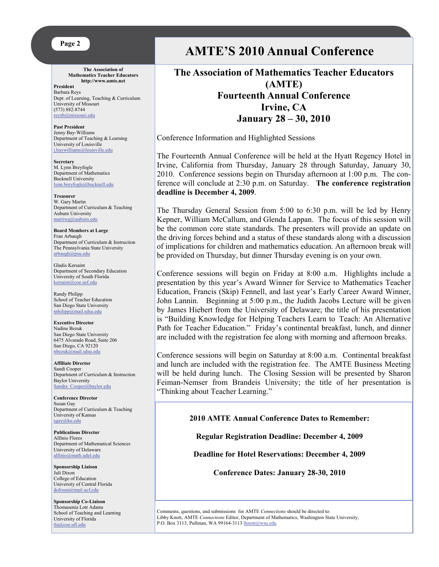#### **Page 2**

**The Association of Mathematics Teacher Educators http://www.amte.net** 

**President**  Barbara Reys Dept. of Learning, Teaching & Curriculum University of Missouri (573) 882-8744 [reysb@missouri.edu](mailto:reysb@missouri.edu)

**Past President** Jenny Bay-Williams Department of Teaching & Learning University of Louisville [j.baywilliams@louisville.edu](mailto:j.baywilliams@louisville.edu) 

**Secretary** M. Lynn Breyfogle Department of Mathematics Bucknell University [lynn.breyfogle@bucknell.edu](mailto:lynn.breyfogle@bucknell.edu)

**Treasurer** W. Gary Martin Department of Curriculum & Teaching Auburn University [martiwg@auburn.edu](mailto:martiwg@auburn.edu)

**Board Members at Large**  Fran Arbaugh Department of Curriculum & Instruction The Pennsylvania State University arbaugh@psu.edu

Gladis Kersaint Department of Secondary Education University of South Florida [kersaint@coe.usf.edu](mailto:kersaint@coe.usf.edu)

Randy Philipp School of Teacher Education San Diego State University [rphilipp@mail.sdsu.edu](mailto:rphilipp@mail.sdsu.edu)

**Executive Director** Nadine Bezuk San Diego State University 6475 Alvarado Road, Suite 206 San Diego, CA 92120 [nbezuk@mail.sdsu.edu](mailto:nbezuk@mail.sdsu.edu)

**Affiliate Director**  Sandi Cooper Department of Curriculum & Instruction Baylor University Sandra Cooper@baylor.edu

**Conference Director**  Susan Gay Department of Curriculum & Teaching University of Kansas [sgay@ku.edu](mailto:sgay@ku.edu)

**Publications Director**  Alfinio Flores Department of Mathematical Sciences University of Delaware [alfinio@math.udel.edu](mailto:alfinio@math.udel.edu)

**Sponsorship Liaison**  Juli Dixon College of Education University of Central Florida [jkdixon@mail.ucf.edu](mailto:jkdixon@mail.ucf.edu)

**Sponsorship Co-Liaison**  Thomasenia Lott Adams School of Teaching and Learning University of Florida tla@coe.ufl.edu

# **AMTE'S 2010 Annual Conference**

**The Association of Mathematics Teacher Educators (AMTE) Fourteenth Annual Conference Irvine, CA January 28 – 30, 2010** 

Conference Information and Highlighted Sessions

The Fourteenth Annual Conference will be held at the Hyatt Regency Hotel in Irvine, California from Thursday, January 28 through Saturday, January 30, 2010. Conference sessions begin on Thursday afternoon at 1:00 p.m. The conference will conclude at 2:30 p.m. on Saturday. **The conference registration deadline is December 4, 2009**.

The Thursday General Session from 5:00 to 6:30 p.m. will be led by Henry Kepner, William McCallum, and Glenda Lappan. The focus of this session will be the common core state standards. The presenters will provide an update on the driving forces behind and a status of these standards along with a discussion of implications for children and mathematics education. An afternoon break will be provided on Thursday, but dinner Thursday evening is on your own.

Conference sessions will begin on Friday at 8:00 a.m. Highlights include a presentation by this year's Award Winner for Service to Mathematics Teacher Education, Francis (Skip) Fennell, and last year's Early Career Award Winner, John Lannin. Beginning at 5:00 p.m., the Judith Jacobs Lecture will be given by James Hiebert from the University of Delaware; the title of his presentation is "Building Knowledge for Helping Teachers Learn to Teach: An Alternative Path for Teacher Education." Friday's continental breakfast, lunch, and dinner are included with the registration fee along with morning and afternoon breaks.

Conference sessions will begin on Saturday at 8:00 a.m. Continental breakfast and lunch are included with the registration fee. The AMTE Business Meeting will be held during lunch. The Closing Session will be presented by Sharon Feiman-Nemser from Brandeis University; the title of her presentation is "Thinking about Teacher Learning."

**2010 AMTE Annual Conference Dates to Remember:** 

**Regular Registration Deadline: December 4, 2009** 

**Deadline for Hotel Reservations: December 4, 2009** 

**Conference Dates: January 28-30, 2010**

Comments, questions, and submissions for AMTE *Connections* should be directed to: Libby Knott, AMTE *Connections* Editor, Department of Mathematics, Washington State University, P.O. Box 3113, Pullman, WA 99164-3113 [lknott@wsu.edu](mailto:lknott@wsu.edu)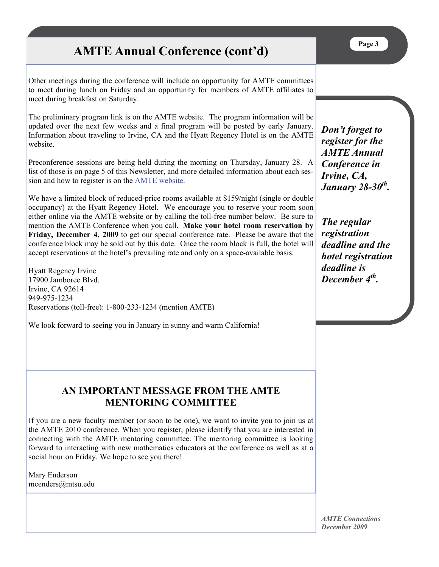# **AMTE Annual Conference (cont'd)**

Other meetings during the conference will include an opportunity for AMTE committees to meet during lunch on Friday and an opportunity for members of AMTE affiliates to meet during breakfast on Saturday.

The preliminary program link is on the AMTE website. The program information will be updated over the next few weeks and a final program will be posted by early January. Information about traveling to Irvine, CA and the Hyatt Regency Hotel is on the AMTE website.

Preconference sessions are being held during the morning on Thursday, January 28. A list of those is on page 5 of this Newsletter, and more detailed information about each session and how to register is on the [AMTE website](http://AMTE.net).

We have a limited block of reduced-price rooms available at \$159/night (single or double occupancy) at the Hyatt Regency Hotel. We encourage you to reserve your room soon either online via the AMTE website or by calling the toll-free number below. Be sure to mention the AMTE Conference when you call. **Make your hotel room reservation by Friday, December 4, 2009** to get our special conference rate. Please be aware that the conference block may be sold out by this date. Once the room block is full, the hotel will accept reservations at the hotel's prevailing rate and only on a space-available basis.

Hyatt Regency Irvine 17900 Jamboree Blvd. Irvine, CA 92614 949-975-1234 Reservations (toll-free): 1-800-233-1234 (mention AMTE)

We look forward to seeing you in January in sunny and warm California!

*Don't forget to register for the AMTE Annual Conference in Irvine, CA, January 28-30th.* 

*The regular registration deadline and the hotel registration deadline is December 4th.* 

## **AN IMPORTANT MESSAGE FROM THE AMTE MENTORING COMMITTEE**

If you are a new faculty member (or soon to be one), we want to invite you to join us at the AMTE 2010 conference. When you register, please identify that you are interested in connecting with the AMTE mentoring committee. The mentoring committee is looking forward to interacting with new mathematics educators at the conference as well as at a social hour on Friday. We hope to see you there!

Mary Enderson mcenders@mtsu.edu

> *AMTE Connections December 2009*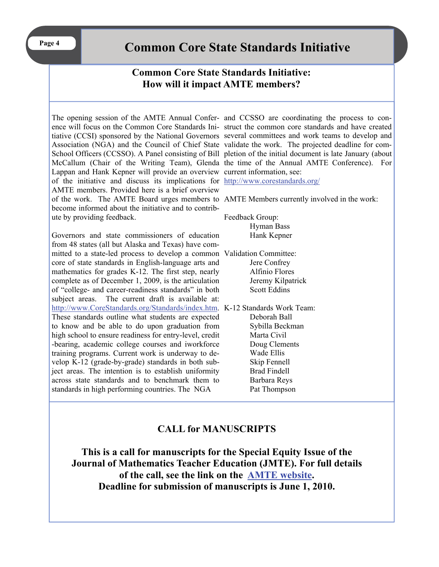# **Common Core State Standards Initiative**

## **Common Core State Standards Initiative: How will it impact AMTE members?**

Lappan and Hank Kepner will provide an overview current information, see: of the initiative and discuss its implications for <http://www.corestandards.org/> AMTE members. Provided here is a brief overview of the work. The AMTE Board urges members to AMTE Members currently involved in the work: become informed about the initiative and to contribute by providing feedback.

Governors and state commissioners of education from 48 states (all but Alaska and Texas) have committed to a state-led process to develop a common Validation Committee: core of state standards in English-language arts and mathematics for grades K-12. The first step, nearly complete as of December 1, 2009, is the articulation of "college- and career-readiness standards" in both subject areas. The current draft is available at: <http://www.CoreStandards.org/Standards/index.htm>. K-12 Standards Work Team: These standards outline what students are expected to know and be able to do upon graduation from high school to ensure readiness for entry-level, credit -bearing, academic college courses and iworkforce training programs. Current work is underway to develop K-12 (grade-by-grade) standards in both subject areas. The intention is to establish uniformity across state standards and to benchmark them to standards in high performing countries. The NGA

The opening session of the AMTE Annual Confer-and CCSSO are coordinating the process to conence will focus on the Common Core Standards Ini-struct the common core standards and have created tiative (CCSI) sponsored by the National Governors several committees and work teams to develop and Association (NGA) and the Council of Chief State validate the work. The projected deadline for com-School Officers (CCSSO). A Panel consisting of Bill pletion of the initial document is late January (about McCallum (Chair of the Writing Team), Glenda the time of the Annual AMTE Conference). For

Feedback Group: Hyman Bass Hank Kepner

 Jere Confrey Alfinio Flores Jeremy Kilpatrick Scott Eddins

 Deborah Ball Sybilla Beckman Marta Civil Doug Clements Wade Ellis Skip Fennell Brad Findell Barbara Reys Pat Thompson

## **CALL for MANUSCRIPTS**

**This is a call for manuscripts for the Special Equity Issue of the Journal of Mathematics Teacher Education (JMTE). For full details of the call, see the link on the [AMTE website](http://amte.net). Deadline for submission of manuscripts is June 1, 2010.**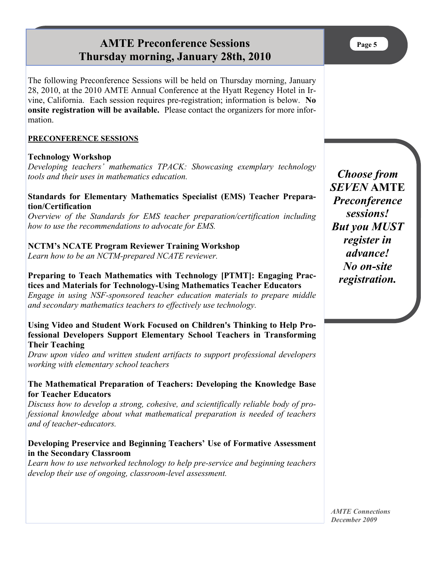# **AMTE Preconference Sessions Thursday morning, January 28th, 2010**

The following Preconference Sessions will be held on Thursday morning, January 28, 2010, at the 2010 AMTE Annual Conference at the Hyatt Regency Hotel in Irvine, California. Each session requires pre-registration; information is below. **No onsite registration will be available.** Please contact the organizers for more information.

#### **PRECONFERENCE SESSIONS**

#### **Technology Workshop**

*Developing teachers' mathematics TPACK: Showcasing exemplary technology tools and their uses in mathematics education.* 

#### **Standards for Elementary Mathematics Specialist (EMS) Teacher Preparation/Certification**

*Overview of the Standards for EMS teacher preparation/certification including how to use the recommendations to advocate for EMS.* 

#### **NCTM's NCATE Program Reviewer Training Workshop**

*Learn how to be an NCTM-prepared NCATE reviewer.* 

### **Preparing to Teach Mathematics with Technology [PTMT]: Engaging Practices and Materials for Technology-Using Mathematics Teacher Educators**

*Engage in using NSF-sponsored teacher education materials to prepare middle and secondary mathematics teachers to effectively use technology.* 

#### **Using Video and Student Work Focused on Children's Thinking to Help Professional Developers Support Elementary School Teachers in Transforming Their Teaching**

*Draw upon video and written student artifacts to support professional developers working with elementary school teachers* 

#### **The Mathematical Preparation of Teachers: Developing the Knowledge Base for Teacher Educators**

*Discuss how to develop a strong, cohesive, and scientifically reliable body of professional knowledge about what mathematical preparation is needed of teachers and of teacher-educators.* 

#### **Developing Preservice and Beginning Teachers' Use of Formative Assessment in the Secondary Classroom**

*Learn how to use networked technology to help pre-service and beginning teachers develop their use of ongoing, classroom-level assessment.* 

*Choose from SEVEN* **AMTE** *Preconference sessions! But you MUST register in advance! No on-site registration.* 

*AMTE Connections December 2009*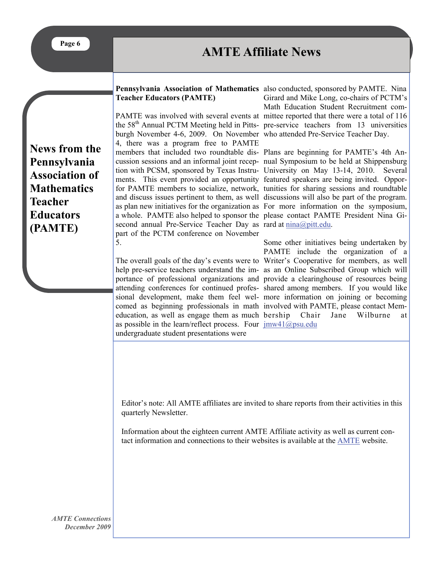# **AMTE Affiliate News**

#### Pennsylvania Association of Mathematics also conducted, sponsored by PAMTE. Nina **Teacher Educators (PAMTE)**

burgh November 4-6, 2009. On November who attended Pre-Service Teacher Day. 4, there was a program free to PAMTE members that included two roundtable dis-Plans are beginning for PAMTE's 4th Anments. This event provided an opportunity featured speakers are being invited. Oppora whole. PAMTE also helped to sponsor the please contact PAMTE President Nina Gisecond annual Pre-Service Teacher Day as rard at  $\frac{\text{mina}}{\text{optt.edu}}$ . part of the PCTM conference on November 5.

education, as well as engage them as much as possible in the learn/reflect process. Four  $\frac{imw41(\omega)psu.edu}{imw41(\omega)psu.edu}$ undergraduate student presentations were

PAMTE was involved with several events at mittee reported that there were a total of 116 the 58<sup>th</sup> Annual PCTM Meeting held in Pitts- pre-service teachers from 13 universities Girard and Mike Long, co-chairs of PCTM's Math Education Student Recruitment com-

cussion sessions and an informal joint recep-nual Symposium to be held at Shippensburg tion with PCSM, sponsored by Texas Instru-University on May 13-14, 2010. Several for PAMTE members to socialize, network, tunities for sharing sessions and roundtable and discuss issues pertinent to them, as well discussions will also be part of the program. as plan new initiatives for the organization as For more information on the symposium,

The overall goals of the day's events were to Writer's Cooperative for members, as well help pre-service teachers understand the im-as an Online Subscribed Group which will portance of professional organizations and provide a clearinghouse of resources being attending conferences for continued profes-shared among members. If you would like sional development, make them feel wel-more information on joining or becoming comed as beginning professionals in math involved with PAMTE, please contact Mem-Some other initiatives being undertaken by PAMTE include the organization of a Chair Jane Wilburne at

Editor's note: All AMTE affiliates are invited to share reports from their activities in this quarterly Newsletter.

Information about the eighteen current AMTE Affiliate activity as well as current contact information and connections to their websites is available at the [AMTE](http://amte.net/resources_affiliates.shtml) website.

**News from the Pennsylvania Association of Mathematics Teacher Educators (PAMTE)**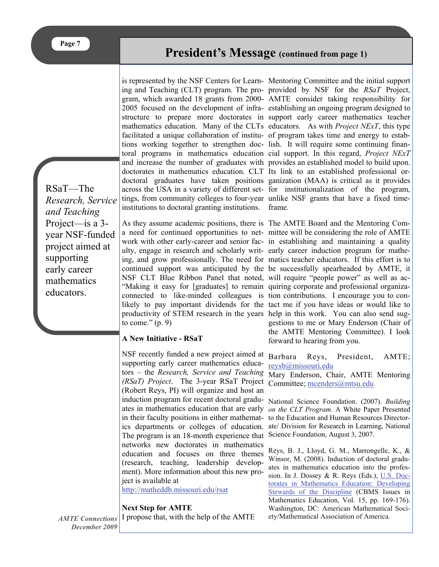**President's Message (continued from page 1)**

RSaT—The *Research, Service and Teaching*  Project—is a 3 year NSF-funded project aimed at supporting early career mathematics educators.

ing and Teaching (CLT) program. The pro-provided by NSF for the *RSaT* Project, gram, which awarded 18 grants from 2000- AMTE consider taking responsibility for 2005 focused on the development of infra-establishing an ongoing program designed to structure to prepare more doctorates in support early career mathematics teacher mathematics education. Many of the CLTs educators. As with *Project NExT*, this type facilitated a unique collaboration of institu-of program takes time and energy to estabtions working together to strengthen doc-lish. It will require some continuing finantoral programs in mathematics education cial support. In this regard, *Project NExT* and increase the number of graduates with provides an established model to build upon. doctorates in mathematics education. CLT Its link to an established professional ordoctoral graduates have taken positions ganization (MAA) is critical as it provides across the USA in a variety of different set-for institutionalization of the program, tings, from community colleges to four-year unlike NSF grants that have a fixed timeinstitutions to doctoral granting institutions. frame.

As they assume academic positions, there is The AMTE Board and the Mentoring Coma need for continued opportunities to net-mittee will be considering the role of AMTE work with other early-career and senior fac-in establishing and maintaining a quality ulty, engage in research and scholarly writ-early career induction program for matheing, and grow professionally. The need for matics teacher educators. If this effort is to continued support was anticipated by the be successfully spearheaded by AMTE, it NSF CLT Blue Ribbon Panel that noted, will require "people power" as well as ac-"Making it easy for [graduates] to remain quiring corporate and professional organizaconnected to like-minded colleagues is tion contributions. I encourage you to conlikely to pay important dividends for the tact me if you have ideas or would like to productivity of STEM research in the years help in this work. You can also send sugto come."  $(p, 9)$ 

#### **A New Initiative - RSaT**

NSF recently funded a new project aimed at supporting early career mathematics educators – the *Research, Service and Teaching (RSaT) Project.* The 3-year RSaT Project Committee; [mcenders@mtsu.edu](mailto:mcenders@mtsu.edu) (Robert Reys, PI) will organize and host an induction program for recent doctoral gradu-National Science Foundation. (2007). *Building*  ates in mathematics education that are early *on the CLT Program.* A White Paper Presented in their faculty positions in either mathemat-to the Education and Human Resources Directorics departments or colleges of education. ate/ Division for Research in Learning, National The program is an 18-month experience that Science Foundation, August 3, 2007. networks new doctorates in mathematics education and focuses on three themes (research, teaching, leadership development). More information about this new project is available at

<http://matheddb.missouri.edu/rsat>

#### **Next Step for AMTE**

I propose that, with the help of the AMTE

is represented by the NSF Centers for Learn-Mentoring Committee and the initial support

gestions to me or Mary Enderson (Chair of the AMTE Mentoring Committee). I look forward to hearing from you.

Barbara Reys, President, AMTE; [reysb@missouri.edu](mailto:reysb@missouri.edu)

Mary Enderson, Chair, AMTE Mentoring

Reys, B. J., Lloyd, G. M., Marrongelle, K., & Winsor, M. (2008). Induction of doctoral graduates in mathematics education into the profession. In J. Dossey & R. Reys (Eds.), [U.S. Doc](http://www.ams.org/bookstore-getitem?item=CBMATH-15)[torates in Mathematics Education: Developing](http://www.ams.org/bookstore-getitem?item=CBMATH-15)  [Stewards of the Discipline](http://www.ams.org/bookstore-getitem?item=CBMATH-15) (CBMS Issues in Mathematics Education, Vol. 15, pp. 169-176). Washington, DC: American Mathematical Society/Mathematical Association of America.

*AMTE Connections December 2009*